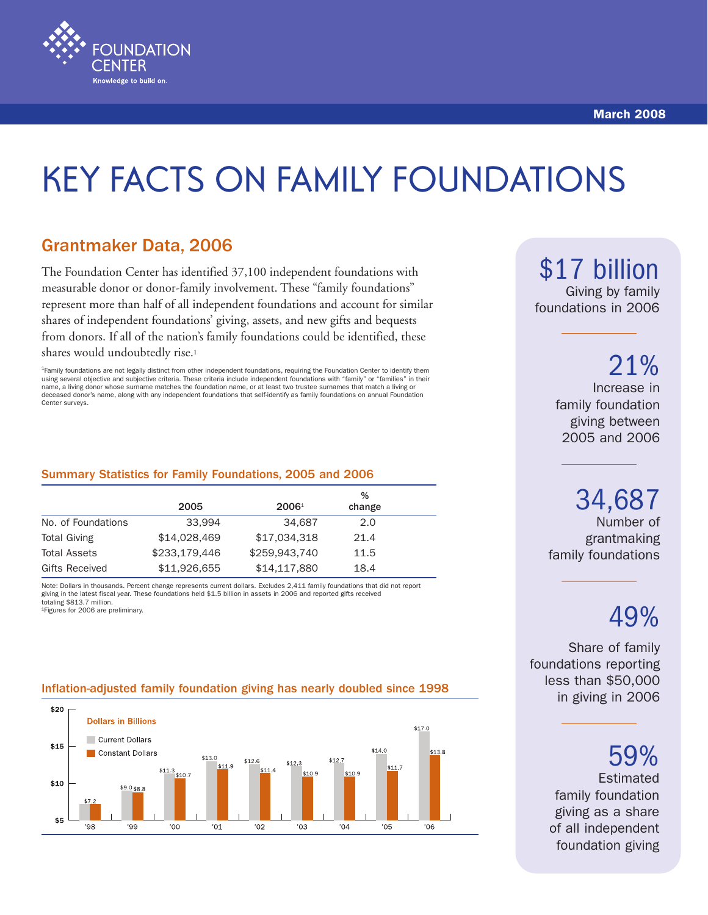

## Grantmaker Data, 2006

**FOUNDATION** 

Knowledge to build on.

The Foundation Center has identified 37,100 independent foundations with measurable donor or donor-family involvement. These "family foundations" represent more than half of all independent foundations and account for similar shares of independent foundations' giving, assets, and new gifts and bequests from donors. If all of the nation's family foundations could be identified, these shares would undoubtedly rise.<sup>1</sup>

<sup>1</sup>Family foundations are not legally distinct from other independent foundations, requiring the Foundation Center to identify them using several objective and subjective criteria. These criteria include independent foundations with "family" or "families" in their name, a living donor whose surname matches the foundation name, or at least two trustee surnames that match a living or deceased donor's name, along with any independent foundations that self-identify as family foundations on annual Foundation Center surveys.

#### Summary Statistics for Family Foundations, 2005 and 2006

|                     |               |                | %      |  |
|---------------------|---------------|----------------|--------|--|
|                     | 2005          | $2006^{\circ}$ | change |  |
| No. of Foundations  | 33.994        | 34,687         | 2.0    |  |
| <b>Total Giving</b> | \$14,028,469  | \$17.034.318   | 21.4   |  |
| <b>Total Assets</b> | \$233,179,446 | \$259,943,740  | 11.5   |  |
| Gifts Received      | \$11,926,655  | \$14,117,880   | 18.4   |  |

Note: Dollars in thousands. Percent change represents current dollars. Excludes 2,411 family foundations that did not report giving in the latest fiscal year. These foundations held \$1.5 billion in assets in 2006 and reported gifts received totaling \$813.7 million.

1Figures for 2006 are preliminary.

#### Inflation-adjusted family foundation giving has nearly doubled since 1998



\$17 billion

Giving by family foundations in 2006

> Increase in family foundation giving between 2005 and 2006 21%

Number of grantmaking 34,687

family foundations

# 49%

Share of family foundations reporting less than \$50,000 in giving in 2006

59%

Estimated family foundation giving as a share of all independent foundation giving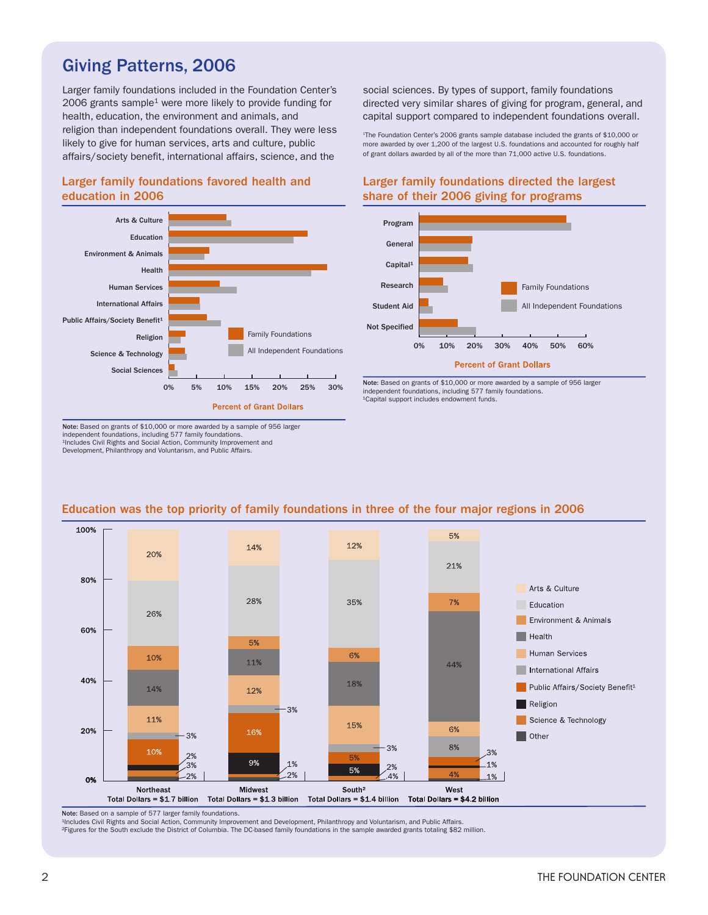## Giving Patterns, 2006

Larger family foundations included in the Foundation Center's 2006 grants sample<sup>1</sup> were more likely to provide funding for health, education, the environment and animals, and religion than independent foundations overall. They were less likely to give for human services, arts and culture, public affairs/society benefit, international affairs, science, and the

social sciences. By types of support, family foundations directed very similar shares of giving for program, general, and capital support compared to independent foundations overall.

1 The Foundation Center's 2006 grants sample database included the grants of \$10,000 or more awarded by over 1,200 of the largest U.S. foundations and accounted for roughly half of grant dollars awarded by all of the more than 71,000 active U.S. foundations.

#### Larger family foundations favored health and education in 2006



Note: Based on grants of \$10,000 or more awarded by a sample of 956 larger independent foundations, including 577 family foundations. ¹Includes Civil Rights and Social Action, Community Improvement and Development, Philanthropy and Voluntarism, and Public Affairs.

#### Larger family foundations directed the largest share of their 2006 giving for programs



Note: Based on grants of \$10,000 or more awarded by a sample of 956 larger independent foundations, including 577 family foundations. <sup>1</sup>Capital support includes endowment funds.



#### Education was the top priority of family foundations in three of the four major regions in 2006

Note: Based on a sample of 577 larger family foundations.

1Includes Civil Rights and Social Action, Community Improvement and Development, Philanthropy and Voluntarism, and Public Affairs.

²Figures for the South exclude the District of Columbia. The DC-based family foundations in the sample awarded grants totaling \$82 million.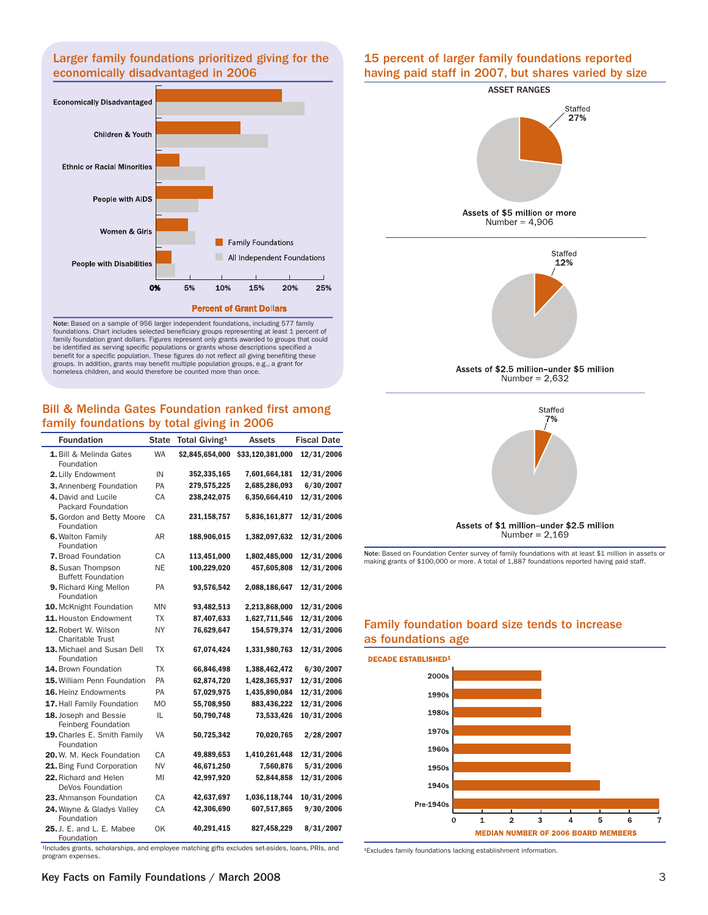#### Larger family foundations prioritized giving for the economically disadvantaged in 2006



Note: Based on a sample of 956 larger independent foundations, including 577 family foundations. Chart includes selected beneficiary groups representing at least 1 percent of family foundation grant dollars. Figures represent only grants awarded to groups that could be identified as serving specific populations or grants whose descriptions specified a benefit for a specific population. These figures do not reflect all giving benefiting these groups. In addition, grants may benefit multiple population groups, e.g., a grant for homeless children, and would therefore be counted more than once.

#### Bill & Melinda Gates Foundation ranked first among family foundations by total giving in 2006

| <b>Foundation</b>                                                                                | <b>State</b> | Total Giving <sup>1</sup> | <b>Assets</b>    | <b>Fiscal Date</b> |  |
|--------------------------------------------------------------------------------------------------|--------------|---------------------------|------------------|--------------------|--|
| 1. Bill & Melinda Gates<br>Foundation                                                            | <b>WA</b>    | \$2,845,654,000           | \$33,120,381,000 | 12/31/2006         |  |
| 2. Lilly Endowment                                                                               | IN           | 352,335,165               | 7,601,664,181    | 12/31/2006         |  |
| 3. Annenberg Foundation                                                                          | PA           | 279,575,225               | 2,685,286,093    | 6/30/2007          |  |
| 4. David and Lucile<br>Packard Foundation                                                        | СA           | 238,242,075               | 6,350,664,410    | 12/31/2006         |  |
| <b>5.</b> Gordon and Betty Moore<br>Foundation                                                   | СA           | 231,158,757               | 5,836,161,877    | 12/31/2006         |  |
| 6. Walton Family<br>Foundation                                                                   | AR           | 188,906,015               | 1,382,097,632    | 12/31/2006         |  |
| 7. Broad Foundation                                                                              | CA           | 113,451,000               | 1,802,485,000    | 12/31/2006         |  |
| 8. Susan Thompson<br><b>Buffett Foundation</b>                                                   | NE           | 100,229,020               | 457,605,808      | 12/31/2006         |  |
| 9. Richard King Mellon<br>Foundation                                                             | PA           | 93,576,542                | 2,088,186,647    | 12/31/2006         |  |
| 10. McKnight Foundation                                                                          | <b>MN</b>    | 93,482,513                | 2,213,868,000    | 12/31/2006         |  |
| 11. Houston Endowment                                                                            | ТX           | 87,407,633                | 1,627,711,546    | 12/31/2006         |  |
| 12. Robert W. Wilson<br><b>Charitable Trust</b>                                                  | ΝY           | 76,629,647                | 154,579,374      | 12/31/2006         |  |
| 13. Michael and Susan Dell<br>Foundation                                                         | TX           | 67,074,424                | 1,331,980,763    | 12/31/2006         |  |
| 14. Brown Foundation                                                                             | TX           | 66,846,498                | 1,388,462,472    | 6/30/2007          |  |
| 15. William Penn Foundation                                                                      | PA           | 62,874,720                | 1,428,365,937    | 12/31/2006         |  |
| 16. Heinz Endowments                                                                             | PA           | 57,029,975                | 1,435,890,084    | 12/31/2006         |  |
| 17. Hall Family Foundation                                                                       | MO           | 55,708,950                | 883,436,222      | 12/31/2006         |  |
| 18. Joseph and Bessie<br>Feinberg Foundation                                                     | IL           | 50,790,748                | 73,533,426       | 10/31/2006         |  |
| 19. Charles E. Smith Family<br>Foundation                                                        | VA           | 50,725,342                | 70,020,765       | 2/28/2007          |  |
| 20. W. M. Keck Foundation                                                                        | СA           | 49,889,653                | 1,410,261,448    | 12/31/2006         |  |
| 21. Bing Fund Corporation                                                                        | NV           | 46,671,250                | 7,560,876        | 5/31/2006          |  |
| 22. Richard and Helen<br>DeVos Foundation                                                        | MI           | 42,997,920                | 52,844,858       | 12/31/2006         |  |
| 23. Ahmanson Foundation                                                                          | CA           | 42,637,697                | 1,036,118,744    | 10/31/2006         |  |
| 24. Wayne & Gladys Valley<br>Foundation                                                          | СA           | 42,306,690                | 607,517,865      | 9/30/2006          |  |
| <b>25. J. E. and L. E. Mabee</b><br>Foundation                                                   | OK           | 40,291,415                | 827,458,229      | 8/31/2007          |  |
| Includes grants, scholarshins, and employee matching gifts excludes set-asides, loans, PRIs, and |              |                           |                  |                    |  |

<sup>1</sup>Includes grants, scholarships, and employee matching gifts excludes set-asides, loans, PRIs, and program expenses.

#### 15 percent of larger family foundations reported having paid staff in 2007, but shares varied by size



# Family foundation board size tends to increase

Note: Based on Foundation Center survey of family foundations with at least \$1 million in assets or making grants of \$100,000 or more. A total of 1,887 foundations reported having paid staff.

Assets of \$1 million-under \$2.5 million Number =  $2,169$ 



<sup>1</sup>Excludes family foundations lacking establishment information.